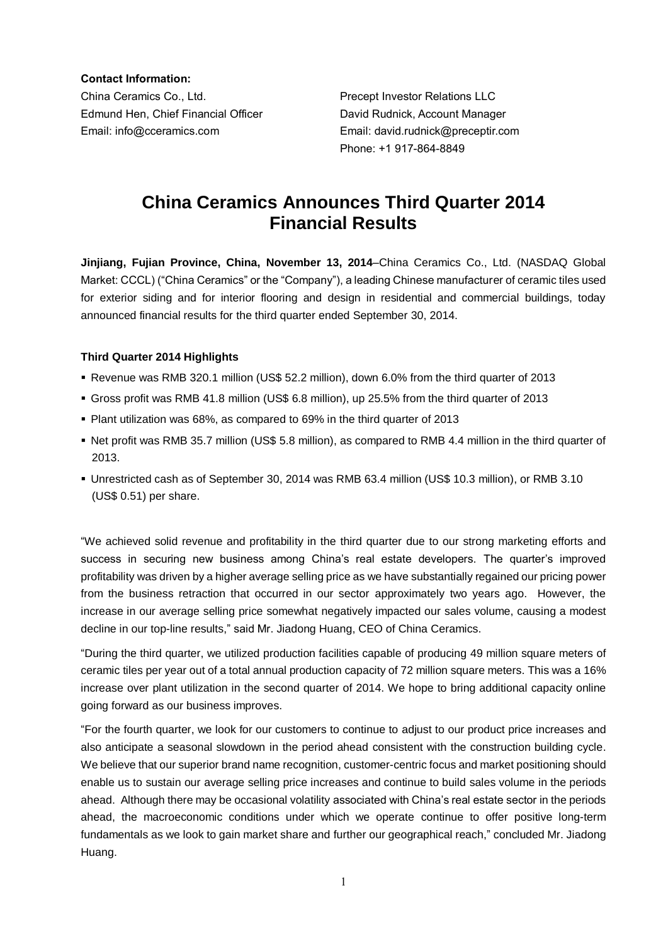**Contact Information:**

China Ceramics Co., Ltd. Precept Investor Relations LLC Edmund Hen, Chief Financial Officer David Rudnick, Account Manager Email: info@cceramics.com Email: david.rudnick@preceptir.com

Phone: +1 917-864-8849

# **China Ceramics Announces Third Quarter 2014 Financial Results**

**Jinjiang, Fujian Province, China, November 13, 2014**–China Ceramics Co., Ltd. (NASDAQ Global Market: CCCL) ("China Ceramics" or the "Company"), a leading Chinese manufacturer of ceramic tiles used for exterior siding and for interior flooring and design in residential and commercial buildings, today announced financial results for the third quarter ended September 30, 2014.

### **Third Quarter 2014 Highlights**

- Revenue was RMB 320.1 million (US\$ 52.2 million), down 6.0% from the third quarter of 2013
- Gross profit was RMB 41.8 million (US\$ 6.8 million), up 25.5% from the third quarter of 2013
- Plant utilization was 68%, as compared to 69% in the third quarter of 2013
- Net profit was RMB 35.7 million (US\$ 5.8 million), as compared to RMB 4.4 million in the third quarter of 2013.
- Unrestricted cash as of September 30, 2014 was RMB 63.4 million (US\$ 10.3 million), or RMB 3.10 (US\$ 0.51) per share.

"We achieved solid revenue and profitability in the third quarter due to our strong marketing efforts and success in securing new business among China's real estate developers. The quarter's improved profitability was driven by a higher average selling price as we have substantially regained our pricing power from the business retraction that occurred in our sector approximately two years ago. However, the increase in our average selling price somewhat negatively impacted our sales volume, causing a modest decline in our top-line results," said Mr. Jiadong Huang, CEO of China Ceramics.

"During the third quarter, we utilized production facilities capable of producing 49 million square meters of ceramic tiles per year out of a total annual production capacity of 72 million square meters. This was a 16% increase over plant utilization in the second quarter of 2014. We hope to bring additional capacity online going forward as our business improves.

"For the fourth quarter, we look for our customers to continue to adjust to our product price increases and also anticipate a seasonal slowdown in the period ahead consistent with the construction building cycle. We believe that our superior brand name recognition, customer-centric focus and market positioning should enable us to sustain our average selling price increases and continue to build sales volume in the periods ahead. Although there may be occasional volatility associated with China's real estate sector in the periods ahead, the macroeconomic conditions under which we operate continue to offer positive long-term fundamentals as we look to gain market share and further our geographical reach," concluded Mr. Jiadong Huang.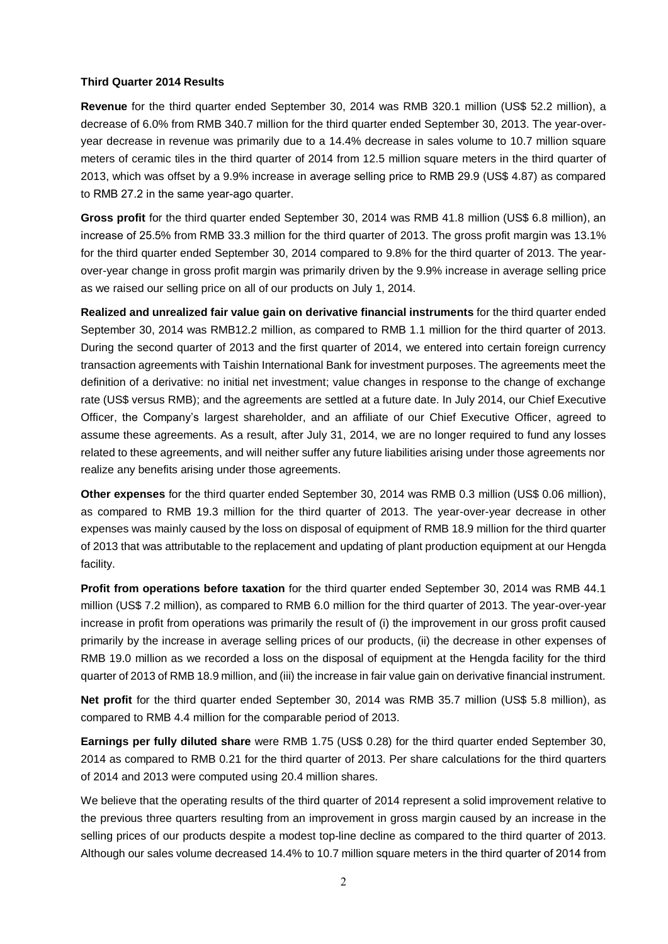#### **Third Quarter 2014 Results**

**Revenue** for the third quarter ended September 30, 2014 was RMB 320.1 million (US\$ 52.2 million), a decrease of 6.0% from RMB 340.7 million for the third quarter ended September 30, 2013. The year-overyear decrease in revenue was primarily due to a 14.4% decrease in sales volume to 10.7 million square meters of ceramic tiles in the third quarter of 2014 from 12.5 million square meters in the third quarter of 2013, which was offset by a 9.9% increase in average selling price to RMB 29.9 (US\$ 4.87) as compared to RMB 27.2 in the same year-ago quarter.

**Gross profit** for the third quarter ended September 30, 2014 was RMB 41.8 million (US\$ 6.8 million), an increase of 25.5% from RMB 33.3 million for the third quarter of 2013. The gross profit margin was 13.1% for the third quarter ended September 30, 2014 compared to 9.8% for the third quarter of 2013. The yearover-year change in gross profit margin was primarily driven by the 9.9% increase in average selling price as we raised our selling price on all of our products on July 1, 2014.

**Realized and unrealized fair value gain on derivative financial instruments** for the third quarter ended September 30, 2014 was RMB12.2 million, as compared to RMB 1.1 million for the third quarter of 2013. During the second quarter of 2013 and the first quarter of 2014, we entered into certain foreign currency transaction agreements with Taishin International Bank for investment purposes. The agreements meet the definition of a derivative: no initial net investment; value changes in response to the change of exchange rate (US\$ versus RMB); and the agreements are settled at a future date. In July 2014, our Chief Executive Officer, the Company's largest shareholder, and an affiliate of our Chief Executive Officer, agreed to assume these agreements. As a result, after July 31, 2014, we are no longer required to fund any losses related to these agreements, and will neither suffer any future liabilities arising under those agreements nor realize any benefits arising under those agreements.

**Other expenses** for the third quarter ended September 30, 2014 was RMB 0.3 million (US\$ 0.06 million), as compared to RMB 19.3 million for the third quarter of 2013. The year-over-year decrease in other expenses was mainly caused by the loss on disposal of equipment of RMB 18.9 million for the third quarter of 2013 that was attributable to the replacement and updating of plant production equipment at our Hengda facility.

**Profit from operations before taxation** for the third quarter ended September 30, 2014 was RMB 44.1 million (US\$ 7.2 million), as compared to RMB 6.0 million for the third quarter of 2013. The year-over-year increase in profit from operations was primarily the result of (i) the improvement in our gross profit caused primarily by the increase in average selling prices of our products, (ii) the decrease in other expenses of RMB 19.0 million as we recorded a loss on the disposal of equipment at the Hengda facility for the third quarter of 2013 of RMB 18.9 million, and (iii) the increase in fair value gain on derivative financial instrument.

**Net profit** for the third quarter ended September 30, 2014 was RMB 35.7 million (US\$ 5.8 million), as compared to RMB 4.4 million for the comparable period of 2013.

**Earnings per fully diluted share** were RMB 1.75 (US\$ 0.28) for the third quarter ended September 30, 2014 as compared to RMB 0.21 for the third quarter of 2013. Per share calculations for the third quarters of 2014 and 2013 were computed using 20.4 million shares.

We believe that the operating results of the third quarter of 2014 represent a solid improvement relative to the previous three quarters resulting from an improvement in gross margin caused by an increase in the selling prices of our products despite a modest top-line decline as compared to the third quarter of 2013. Although our sales volume decreased 14.4% to 10.7 million square meters in the third quarter of 2014 from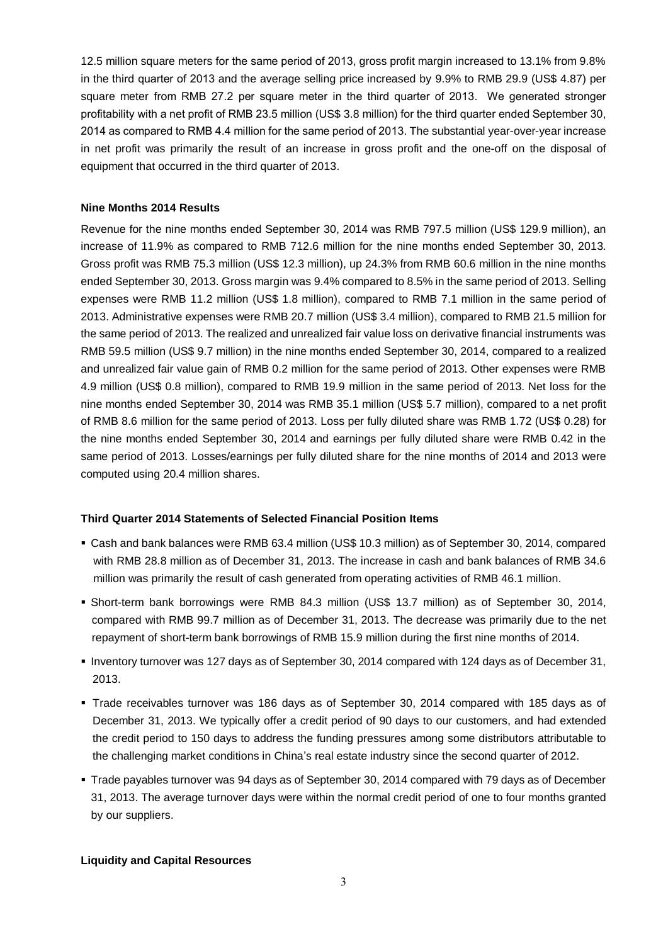12.5 million square meters for the same period of 2013, gross profit margin increased to 13.1% from 9.8% in the third quarter of 2013 and the average selling price increased by 9.9% to RMB 29.9 (US\$ 4.87) per square meter from RMB 27.2 per square meter in the third quarter of 2013. We generated stronger profitability with a net profit of RMB 23.5 million (US\$ 3.8 million) for the third quarter ended September 30, 2014 as compared to RMB 4.4 million for the same period of 2013. The substantial year-over-year increase in net profit was primarily the result of an increase in gross profit and the one-off on the disposal of equipment that occurred in the third quarter of 2013.

#### **Nine Months 2014 Results**

Revenue for the nine months ended September 30, 2014 was RMB 797.5 million (US\$ 129.9 million), an increase of 11.9% as compared to RMB 712.6 million for the nine months ended September 30, 2013. Gross profit was RMB 75.3 million (US\$ 12.3 million), up 24.3% from RMB 60.6 million in the nine months ended September 30, 2013. Gross margin was 9.4% compared to 8.5% in the same period of 2013. Selling expenses were RMB 11.2 million (US\$ 1.8 million), compared to RMB 7.1 million in the same period of 2013. Administrative expenses were RMB 20.7 million (US\$ 3.4 million), compared to RMB 21.5 million for the same period of 2013. The realized and unrealized fair value loss on derivative financial instruments was RMB 59.5 million (US\$ 9.7 million) in the nine months ended September 30, 2014, compared to a realized and unrealized fair value gain of RMB 0.2 million for the same period of 2013. Other expenses were RMB 4.9 million (US\$ 0.8 million), compared to RMB 19.9 million in the same period of 2013. Net loss for the nine months ended September 30, 2014 was RMB 35.1 million (US\$ 5.7 million), compared to a net profit of RMB 8.6 million for the same period of 2013. Loss per fully diluted share was RMB 1.72 (US\$ 0.28) for the nine months ended September 30, 2014 and earnings per fully diluted share were RMB 0.42 in the same period of 2013. Losses/earnings per fully diluted share for the nine months of 2014 and 2013 were computed using 20.4 million shares.

#### **Third Quarter 2014 Statements of Selected Financial Position Items**

- Cash and bank balances were RMB 63.4 million (US\$ 10.3 million) as of September 30, 2014, compared with RMB 28.8 million as of December 31, 2013. The increase in cash and bank balances of RMB 34.6 million was primarily the result of cash generated from operating activities of RMB 46.1 million.
- Short-term bank borrowings were RMB 84.3 million (US\$ 13.7 million) as of September 30, 2014, compared with RMB 99.7 million as of December 31, 2013. The decrease was primarily due to the net repayment of short-term bank borrowings of RMB 15.9 million during the first nine months of 2014.
- Inventory turnover was 127 days as of September 30, 2014 compared with 124 days as of December 31, 2013.
- Trade receivables turnover was 186 days as of September 30, 2014 compared with 185 days as of December 31, 2013. We typically offer a credit period of 90 days to our customers, and had extended the credit period to 150 days to address the funding pressures among some distributors attributable to the challenging market conditions in China's real estate industry since the second quarter of 2012.
- Trade payables turnover was 94 days as of September 30, 2014 compared with 79 days as of December 31, 2013. The average turnover days were within the normal credit period of one to four months granted by our suppliers.

#### **Liquidity and Capital Resources**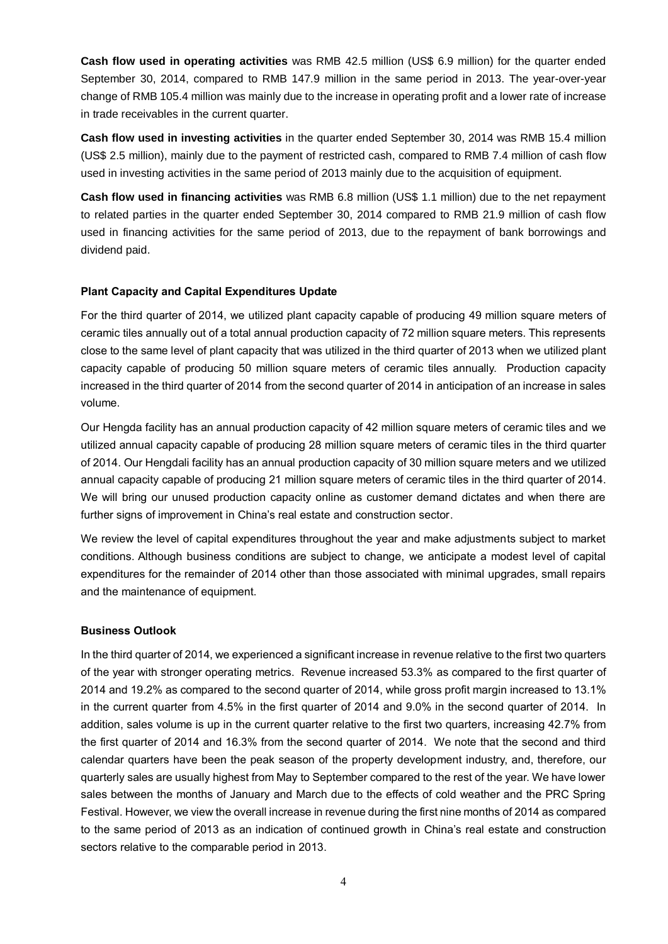**Cash flow used in operating activities** was RMB 42.5 million (US\$ 6.9 million) for the quarter ended September 30, 2014, compared to RMB 147.9 million in the same period in 2013. The year-over-year change of RMB 105.4 million was mainly due to the increase in operating profit and a lower rate of increase in trade receivables in the current quarter.

**Cash flow used in investing activities** in the quarter ended September 30, 2014 was RMB 15.4 million (US\$ 2.5 million), mainly due to the payment of restricted cash, compared to RMB 7.4 million of cash flow used in investing activities in the same period of 2013 mainly due to the acquisition of equipment.

**Cash flow used in financing activities** was RMB 6.8 million (US\$ 1.1 million) due to the net repayment to related parties in the quarter ended September 30, 2014 compared to RMB 21.9 million of cash flow used in financing activities for the same period of 2013, due to the repayment of bank borrowings and dividend paid.

#### **Plant Capacity and Capital Expenditures Update**

For the third quarter of 2014, we utilized plant capacity capable of producing 49 million square meters of ceramic tiles annually out of a total annual production capacity of 72 million square meters. This represents close to the same level of plant capacity that was utilized in the third quarter of 2013 when we utilized plant capacity capable of producing 50 million square meters of ceramic tiles annually. Production capacity increased in the third quarter of 2014 from the second quarter of 2014 in anticipation of an increase in sales volume.

Our Hengda facility has an annual production capacity of 42 million square meters of ceramic tiles and we utilized annual capacity capable of producing 28 million square meters of ceramic tiles in the third quarter of 2014. Our Hengdali facility has an annual production capacity of 30 million square meters and we utilized annual capacity capable of producing 21 million square meters of ceramic tiles in the third quarter of 2014. We will bring our unused production capacity online as customer demand dictates and when there are further signs of improvement in China's real estate and construction sector.

We review the level of capital expenditures throughout the year and make adjustments subject to market conditions. Although business conditions are subject to change, we anticipate a modest level of capital expenditures for the remainder of 2014 other than those associated with minimal upgrades, small repairs and the maintenance of equipment.

#### **Business Outlook**

In the third quarter of 2014, we experienced a significant increase in revenue relative to the first two quarters of the year with stronger operating metrics. Revenue increased 53.3% as compared to the first quarter of 2014 and 19.2% as compared to the second quarter of 2014, while gross profit margin increased to 13.1% in the current quarter from 4.5% in the first quarter of 2014 and 9.0% in the second quarter of 2014. In addition, sales volume is up in the current quarter relative to the first two quarters, increasing 42.7% from the first quarter of 2014 and 16.3% from the second quarter of 2014. We note that the second and third calendar quarters have been the peak season of the property development industry, and, therefore, our quarterly sales are usually highest from May to September compared to the rest of the year. We have lower sales between the months of January and March due to the effects of cold weather and the PRC Spring Festival. However, we view the overall increase in revenue during the first nine months of 2014 as compared to the same period of 2013 as an indication of continued growth in China's real estate and construction sectors relative to the comparable period in 2013.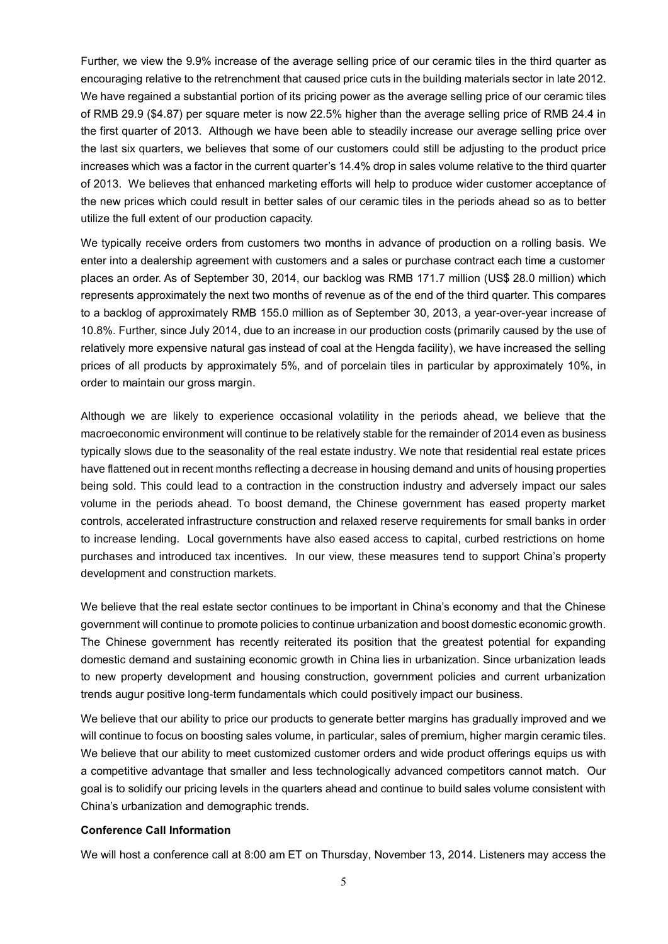Further, we view the 9.9% increase of the average selling price of our ceramic tiles in the third quarter as encouraging relative to the retrenchment that caused price cuts in the building materials sector in late 2012. We have regained a substantial portion of its pricing power as the average selling price of our ceramic tiles of RMB 29.9 (\$4.87) per square meter is now 22.5% higher than the average selling price of RMB 24.4 in the first quarter of 2013. Although we have been able to steadily increase our average selling price over the last six quarters, we believes that some of our customers could still be adjusting to the product price increases which was a factor in the current quarter's 14.4% drop in sales volume relative to the third quarter of 2013. We believes that enhanced marketing efforts will help to produce wider customer acceptance of the new prices which could result in better sales of our ceramic tiles in the periods ahead so as to better utilize the full extent of our production capacity.

We typically receive orders from customers two months in advance of production on a rolling basis. We enter into a dealership agreement with customers and a sales or purchase contract each time a customer places an order. As of September 30, 2014, our backlog was RMB 171.7 million (US\$ 28.0 million) which represents approximately the next two months of revenue as of the end of the third quarter. This compares to a backlog of approximately RMB 155.0 million as of September 30, 2013, a year-over-year increase of 10.8%. Further, since July 2014, due to an increase in our production costs (primarily caused by the use of relatively more expensive natural gas instead of coal at the Hengda facility), we have increased the selling prices of all products by approximately 5%, and of porcelain tiles in particular by approximately 10%, in order to maintain our gross margin.

Although we are likely to experience occasional volatility in the periods ahead, we believe that the macroeconomic environment will continue to be relatively stable for the remainder of 2014 even as business typically slows due to the seasonality of the real estate industry. We note that residential real estate prices have flattened out in recent months reflecting a decrease in housing demand and units of housing properties being sold. This could lead to a contraction in the construction industry and adversely impact our sales volume in the periods ahead. To boost demand, the Chinese government has eased property market controls, accelerated infrastructure construction and relaxed reserve requirements for small banks in order to increase lending. Local governments have also eased access to capital, curbed restrictions on home purchases and introduced tax incentives. In our view, these measures tend to support China's property development and construction markets.

We believe that the real estate sector continues to be important in China's economy and that the Chinese government will continue to promote policies to continue urbanization and boost domestic economic growth. The Chinese government has recently reiterated its position that the greatest potential for expanding domestic demand and sustaining economic growth in China lies in urbanization. Since urbanization leads to new property development and housing construction, government policies and current urbanization trends augur positive long-term fundamentals which could positively impact our business.

We believe that our ability to price our products to generate better margins has gradually improved and we will continue to focus on boosting sales volume, in particular, sales of premium, higher margin ceramic tiles. We believe that our ability to meet customized customer orders and wide product offerings equips us with a competitive advantage that smaller and less technologically advanced competitors cannot match. Our goal is to solidify our pricing levels in the quarters ahead and continue to build sales volume consistent with China's urbanization and demographic trends.

#### **Conference Call Information**

We will host a conference call at 8:00 am ET on Thursday, November 13, 2014. Listeners may access the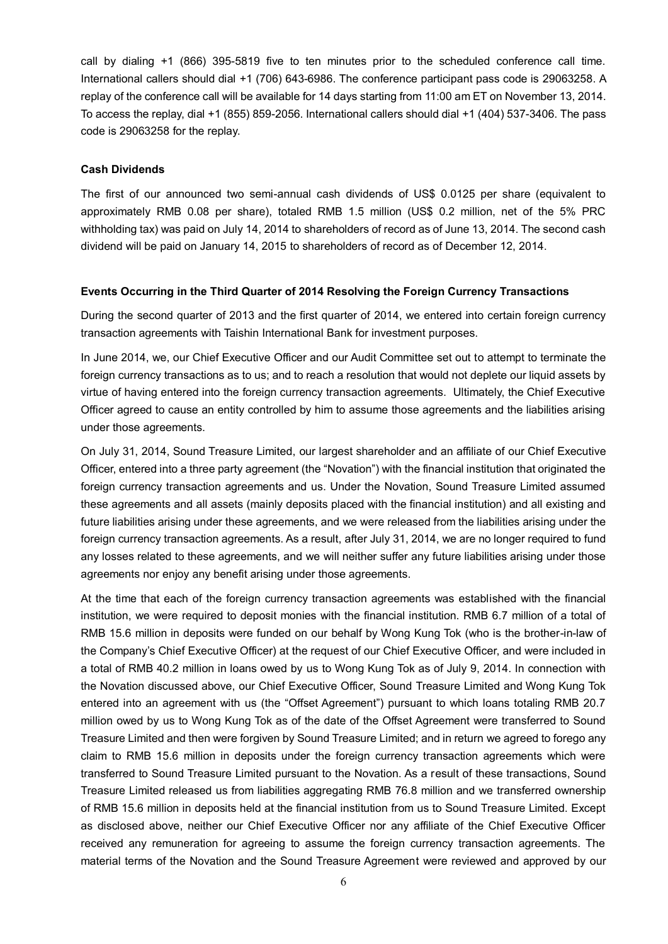call by dialing +1 (866) 395-5819 five to ten minutes prior to the scheduled conference call time. International callers should dial +1 (706) 643-6986. The conference participant pass code is 29063258. A replay of the conference call will be available for 14 days starting from 11:00 am ET on November 13, 2014. To access the replay, dial +1 (855) 859-2056. International callers should dial +1 (404) 537-3406. The pass code is 29063258 for the replay.

#### **Cash Dividends**

The first of our announced two semi-annual cash dividends of US\$ 0.0125 per share (equivalent to approximately RMB 0.08 per share), totaled RMB 1.5 million (US\$ 0.2 million, net of the 5% PRC withholding tax) was paid on July 14, 2014 to shareholders of record as of June 13, 2014. The second cash dividend will be paid on January 14, 2015 to shareholders of record as of December 12, 2014.

#### **Events Occurring in the Third Quarter of 2014 Resolving the Foreign Currency Transactions**

During the second quarter of 2013 and the first quarter of 2014, we entered into certain foreign currency transaction agreements with Taishin International Bank for investment purposes.

In June 2014, we, our Chief Executive Officer and our Audit Committee set out to attempt to terminate the foreign currency transactions as to us; and to reach a resolution that would not deplete our liquid assets by virtue of having entered into the foreign currency transaction agreements. Ultimately, the Chief Executive Officer agreed to cause an entity controlled by him to assume those agreements and the liabilities arising under those agreements.

On July 31, 2014, Sound Treasure Limited, our largest shareholder and an affiliate of our Chief Executive Officer, entered into a three party agreement (the "Novation") with the financial institution that originated the foreign currency transaction agreements and us. Under the Novation, Sound Treasure Limited assumed these agreements and all assets (mainly deposits placed with the financial institution) and all existing and future liabilities arising under these agreements, and we were released from the liabilities arising under the foreign currency transaction agreements. As a result, after July 31, 2014, we are no longer required to fund any losses related to these agreements, and we will neither suffer any future liabilities arising under those agreements nor enjoy any benefit arising under those agreements.

At the time that each of the foreign currency transaction agreements was established with the financial institution, we were required to deposit monies with the financial institution. RMB 6.7 million of a total of RMB 15.6 million in deposits were funded on our behalf by Wong Kung Tok (who is the brother-in-law of the Company's Chief Executive Officer) at the request of our Chief Executive Officer, and were included in a total of RMB 40.2 million in loans owed by us to Wong Kung Tok as of July 9, 2014. In connection with the Novation discussed above, our Chief Executive Officer, Sound Treasure Limited and Wong Kung Tok entered into an agreement with us (the "Offset Agreement") pursuant to which loans totaling RMB 20.7 million owed by us to Wong Kung Tok as of the date of the Offset Agreement were transferred to Sound Treasure Limited and then were forgiven by Sound Treasure Limited; and in return we agreed to forego any claim to RMB 15.6 million in deposits under the foreign currency transaction agreements which were transferred to Sound Treasure Limited pursuant to the Novation. As a result of these transactions, Sound Treasure Limited released us from liabilities aggregating RMB 76.8 million and we transferred ownership of RMB 15.6 million in deposits held at the financial institution from us to Sound Treasure Limited. Except as disclosed above, neither our Chief Executive Officer nor any affiliate of the Chief Executive Officer received any remuneration for agreeing to assume the foreign currency transaction agreements. The material terms of the Novation and the Sound Treasure Agreement were reviewed and approved by our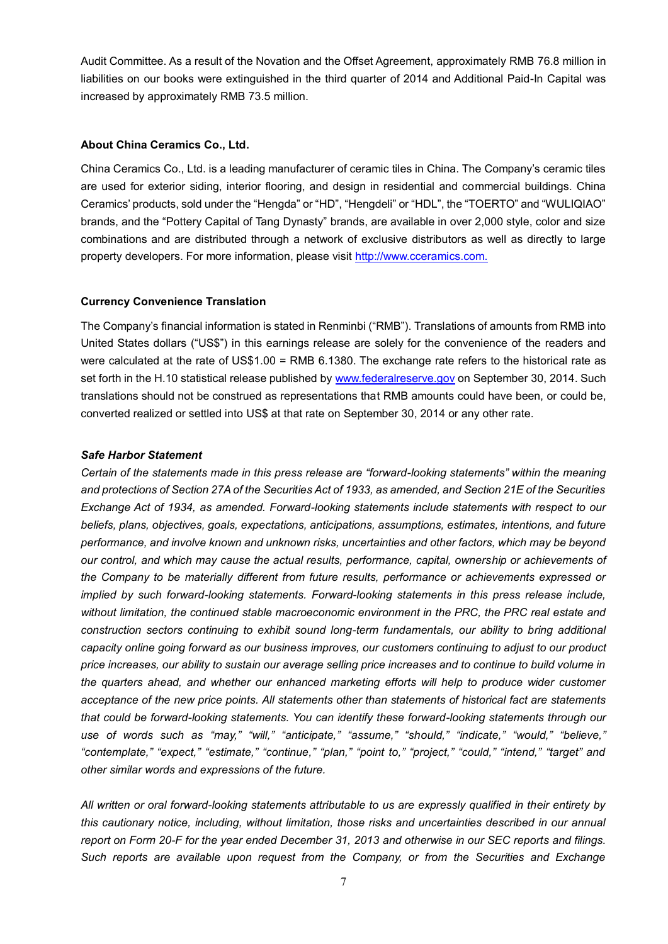Audit Committee. As a result of the Novation and the Offset Agreement, approximately RMB 76.8 million in liabilities on our books were extinguished in the third quarter of 2014 and Additional Paid-In Capital was increased by approximately RMB 73.5 million.

#### **About China Ceramics Co., Ltd.**

China Ceramics Co., Ltd. is a leading manufacturer of ceramic tiles in China. The Company's ceramic tiles are used for exterior siding, interior flooring, and design in residential and commercial buildings. China Ceramics' products, sold under the "Hengda" or "HD", "Hengdeli" or "HDL", the "TOERTO" and "WULIQIAO" brands, and the "Pottery Capital of Tang Dynasty" brands, are available in over 2,000 style, color and size combinations and are distributed through a network of exclusive distributors as well as directly to large property developers. For more information, please visit [http://www.cceramics.com.](http://www.cceramics.com/)

#### **Currency Convenience Translation**

The Company's financial information is stated in Renminbi ("RMB"). Translations of amounts from RMB into United States dollars ("US\$") in this earnings release are solely for the convenience of the readers and were calculated at the rate of US\$1.00 = RMB 6.1380. The exchange rate refers to the historical rate as set forth in the H.10 statistical release published b[y www.federalreserve.gov](http://www.federalreserve.gov/) on September 30, 2014. Such translations should not be construed as representations that RMB amounts could have been, or could be, converted realized or settled into US\$ at that rate on September 30, 2014 or any other rate.

#### *Safe Harbor Statement*

*Certain of the statements made in this press release are "forward-looking statements" within the meaning and protections of Section 27A of the Securities Act of 1933, as amended, and Section 21E of the Securities Exchange Act of 1934, as amended. Forward-looking statements include statements with respect to our beliefs, plans, objectives, goals, expectations, anticipations, assumptions, estimates, intentions, and future performance, and involve known and unknown risks, uncertainties and other factors, which may be beyond our control, and which may cause the actual results, performance, capital, ownership or achievements of the Company to be materially different from future results, performance or achievements expressed or implied by such forward-looking statements. Forward-looking statements in this press release include, without limitation, the continued stable macroeconomic environment in the PRC, the PRC real estate and construction sectors continuing to exhibit sound long-term fundamentals, our ability to bring additional capacity online going forward as our business improves, our customers continuing to adjust to our product price increases, our ability to sustain our average selling price increases and to continue to build volume in the quarters ahead, and whether our enhanced marketing efforts will help to produce wider customer acceptance of the new price points. All statements other than statements of historical fact are statements that could be forward-looking statements. You can identify these forward-looking statements through our use of words such as "may," "will," "anticipate," "assume," "should," "indicate," "would," "believe," "contemplate," "expect," "estimate," "continue," "plan," "point to," "project," "could," "intend," "target" and other similar words and expressions of the future.* 

*All written or oral forward-looking statements attributable to us are expressly qualified in their entirety by this cautionary notice, including, without limitation, those risks and uncertainties described in our annual report on Form 20-F for the year ended December 31, 2013 and otherwise in our SEC reports and filings. Such reports are available upon request from the Company, or from the Securities and Exchange*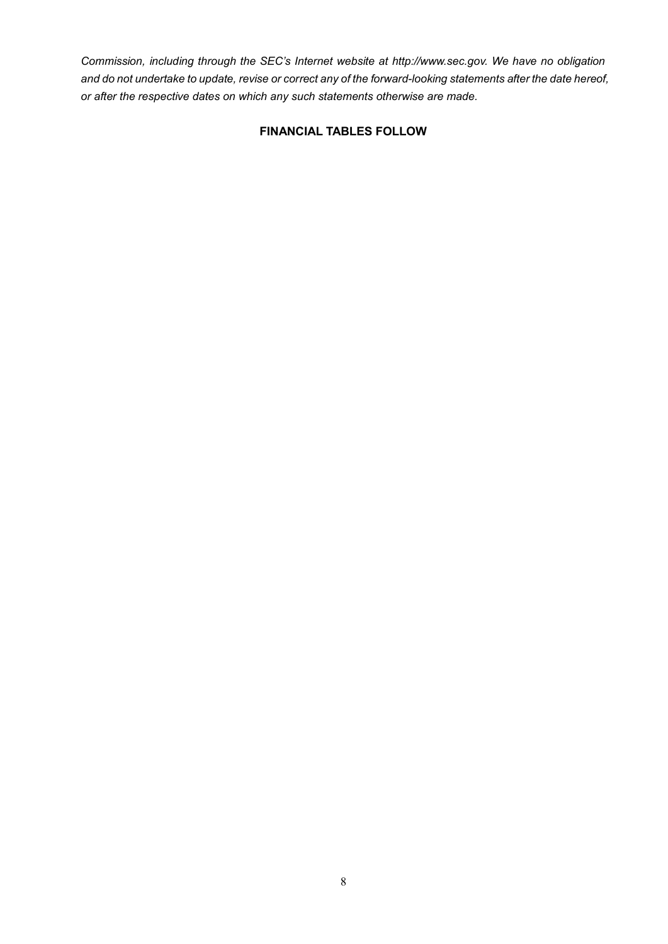*Commission, including through the SEC's Internet website at http://www.sec.gov. We have no obligation and do not undertake to update, revise or correct any of the forward-looking statements after the date hereof, or after the respective dates on which any such statements otherwise are made.*

# **FINANCIAL TABLES FOLLOW**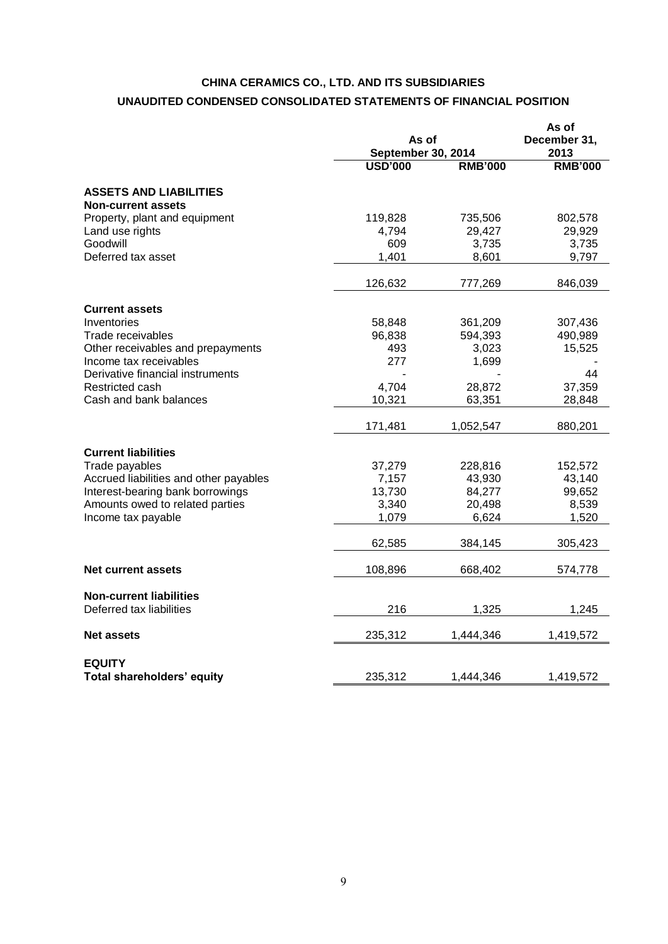# **CHINA CERAMICS CO., LTD. AND ITS SUBSIDIARIES UNAUDITED CONDENSED CONSOLIDATED STATEMENTS OF FINANCIAL POSITION**

|                                                                       |                         | As of<br><b>September 30, 2014</b> |                              |
|-----------------------------------------------------------------------|-------------------------|------------------------------------|------------------------------|
|                                                                       | <b>USD'000</b>          | <b>RMB'000</b>                     | <b>RMB'000</b>               |
| <b>ASSETS AND LIABILITIES</b><br><b>Non-current assets</b>            |                         |                                    |                              |
| Property, plant and equipment<br>Land use rights                      | 119,828<br>4,794        | 735,506<br>29,427                  | 802,578<br>29,929            |
| Goodwill<br>Deferred tax asset                                        | 609<br>1,401            | 3,735<br>8,601                     | 3,735<br>9,797               |
|                                                                       | 126,632                 | 777,269                            | 846,039                      |
| <b>Current assets</b>                                                 |                         |                                    |                              |
| Inventories<br>Trade receivables<br>Other receivables and prepayments | 58,848<br>96,838<br>493 | 361,209<br>594,393<br>3,023        | 307,436<br>490,989<br>15,525 |
| Income tax receivables<br>Derivative financial instruments            | 277                     | 1,699                              | 44                           |
| Restricted cash<br>Cash and bank balances                             | 4,704<br>10,321         | 28,872<br>63,351                   | 37,359<br>28,848             |
|                                                                       | 171,481                 | 1,052,547                          | 880,201                      |
| <b>Current liabilities</b>                                            |                         |                                    |                              |
| Trade payables                                                        | 37,279                  | 228,816                            | 152,572                      |
| Accrued liabilities and other payables                                | 7,157                   | 43,930                             | 43,140                       |
| Interest-bearing bank borrowings<br>Amounts owed to related parties   | 13,730<br>3,340         | 84,277<br>20,498                   | 99,652<br>8,539              |
| Income tax payable                                                    | 1,079                   | 6,624                              | 1,520                        |
|                                                                       | 62,585                  | 384,145                            | 305,423                      |
| <b>Net current assets</b>                                             | 108,896                 | 668,402                            | 574,778                      |
| <b>Non-current liabilities</b>                                        | 216                     |                                    |                              |
| Deferred tax liabilities                                              |                         | 1,325                              | 1,245                        |
| <b>Net assets</b>                                                     | 235,312                 | 1,444,346                          | 1,419,572                    |
| <b>EQUITY</b>                                                         |                         |                                    |                              |
| Total shareholders' equity                                            | 235,312                 | 1,444,346                          | 1,419,572                    |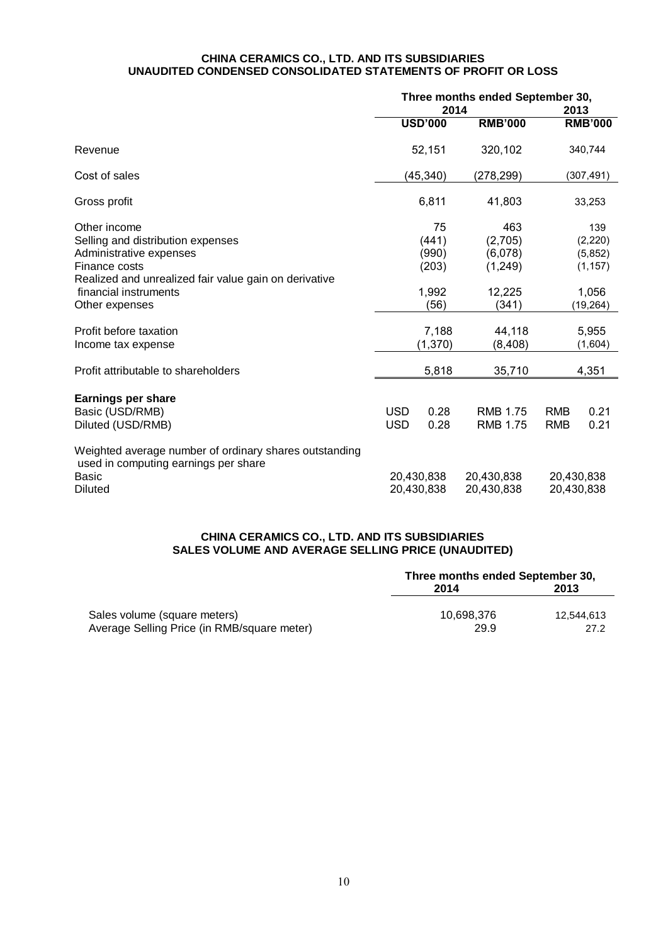#### **CHINA CERAMICS CO., LTD. AND ITS SUBSIDIARIES UNAUDITED CONDENSED CONSOLIDATED STATEMENTS OF PROFIT OR LOSS**

|                                                                                                                                                                                                   | Three months ended September 30,<br>2014 |                                                | 2013                                                     |                          |                                                              |
|---------------------------------------------------------------------------------------------------------------------------------------------------------------------------------------------------|------------------------------------------|------------------------------------------------|----------------------------------------------------------|--------------------------|--------------------------------------------------------------|
|                                                                                                                                                                                                   |                                          | <b>USD'000</b>                                 | <b>RMB'000</b>                                           |                          | <b>RMB'000</b>                                               |
| Revenue                                                                                                                                                                                           |                                          | 52,151                                         | 320,102                                                  |                          | 340,744                                                      |
| Cost of sales                                                                                                                                                                                     |                                          | (45, 340)                                      | (278, 299)                                               |                          | (307, 491)                                                   |
| Gross profit                                                                                                                                                                                      |                                          | 6,811                                          | 41,803                                                   |                          | 33,253                                                       |
| Other income<br>Selling and distribution expenses<br>Administrative expenses<br>Finance costs<br>Realized and unrealized fair value gain on derivative<br>financial instruments<br>Other expenses |                                          | 75<br>(441)<br>(990)<br>(203)<br>1,992<br>(56) | 463<br>(2,705)<br>(6,078)<br>(1, 249)<br>12,225<br>(341) |                          | 139<br>(2, 220)<br>(5,852)<br>(1, 157)<br>1,056<br>(19, 264) |
| Profit before taxation<br>Income tax expense                                                                                                                                                      |                                          | 7,188<br>(1, 370)                              | 44,118<br>(8, 408)                                       |                          | 5,955<br>(1,604)                                             |
| Profit attributable to shareholders                                                                                                                                                               |                                          | 5,818                                          | 35,710                                                   |                          | 4,351                                                        |
| <b>Earnings per share</b><br>Basic (USD/RMB)<br>Diluted (USD/RMB)                                                                                                                                 | USD<br><b>USD</b>                        | 0.28<br>0.28                                   | <b>RMB 1.75</b><br><b>RMB 1.75</b>                       | <b>RMB</b><br><b>RMB</b> | 0.21<br>0.21                                                 |
| Weighted average number of ordinary shares outstanding<br>used in computing earnings per share<br>Basic<br><b>Diluted</b>                                                                         |                                          | 20,430,838<br>20,430,838                       | 20,430,838<br>20,430,838                                 | 20,430,838<br>20,430,838 |                                                              |

# **CHINA CERAMICS CO., LTD. AND ITS SUBSIDIARIES SALES VOLUME AND AVERAGE SELLING PRICE (UNAUDITED)**

|                                             | Three months ended September 30, |            |  |
|---------------------------------------------|----------------------------------|------------|--|
|                                             | 2014                             | 2013       |  |
| Sales volume (square meters)                | 10.698.376                       | 12.544.613 |  |
| Average Selling Price (in RMB/square meter) | 29.9                             | 27.2       |  |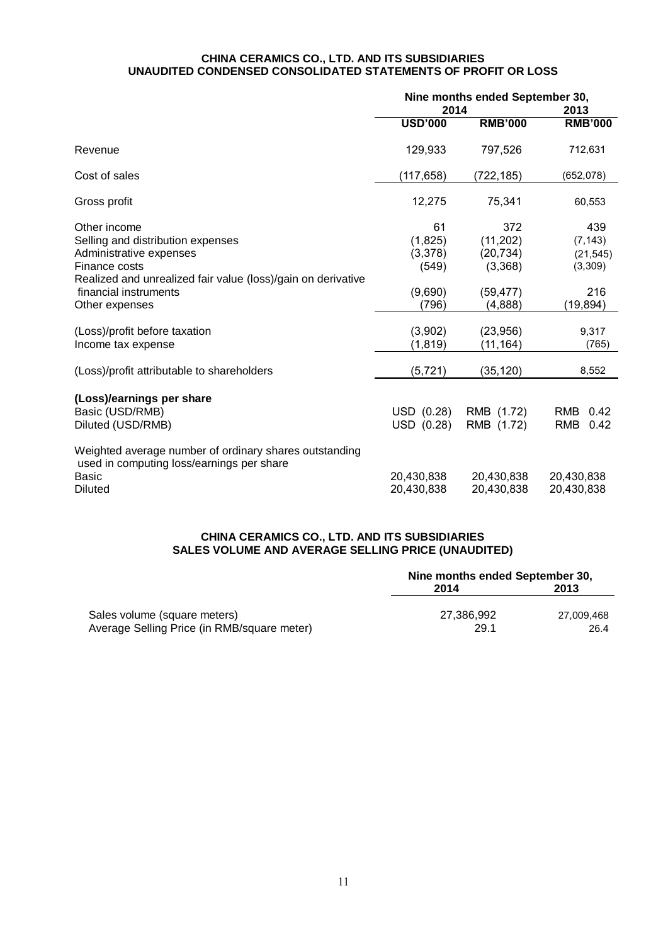#### **CHINA CERAMICS CO., LTD. AND ITS SUBSIDIARIES UNAUDITED CONDENSED CONSOLIDATED STATEMENTS OF PROFIT OR LOSS**

|                                                                                                                                                                                                          | Nine months ended September 30,<br>2014               |                                                                  | 2013                                                        |  |
|----------------------------------------------------------------------------------------------------------------------------------------------------------------------------------------------------------|-------------------------------------------------------|------------------------------------------------------------------|-------------------------------------------------------------|--|
|                                                                                                                                                                                                          | <b>USD'000</b>                                        | <b>RMB'000</b>                                                   | <b>RMB'000</b>                                              |  |
| Revenue                                                                                                                                                                                                  | 129,933                                               | 797,526                                                          | 712,631                                                     |  |
| Cost of sales                                                                                                                                                                                            | (117, 658)                                            | (722, 185)                                                       | (652,078)                                                   |  |
| Gross profit                                                                                                                                                                                             | 12,275                                                | 75,341                                                           | 60,553                                                      |  |
| Other income<br>Selling and distribution expenses<br>Administrative expenses<br>Finance costs<br>Realized and unrealized fair value (loss)/gain on derivative<br>financial instruments<br>Other expenses | 61<br>(1,825)<br>(3,378)<br>(549)<br>(9,690)<br>(796) | 372<br>(11, 202)<br>(20, 734)<br>(3,368)<br>(59, 477)<br>(4,888) | 439<br>(7, 143)<br>(21, 545)<br>(3,309)<br>216<br>(19, 894) |  |
| (Loss)/profit before taxation<br>Income tax expense                                                                                                                                                      | (3,902)<br>(1, 819)                                   | (23, 956)<br>(11, 164)                                           | 9,317<br>(765)                                              |  |
| (Loss)/profit attributable to shareholders                                                                                                                                                               | (5, 721)                                              | (35, 120)                                                        | 8,552                                                       |  |
| (Loss)/earnings per share<br>Basic (USD/RMB)<br>Diluted (USD/RMB)                                                                                                                                        | USD (0.28)<br>USD (0.28)                              | RMB (1.72)<br>RMB (1.72)                                         | RMB<br>0.42<br>0.42<br><b>RMB</b>                           |  |
| Weighted average number of ordinary shares outstanding<br>used in computing loss/earnings per share<br>Basic<br><b>Diluted</b>                                                                           | 20,430,838<br>20,430,838                              | 20,430,838<br>20,430,838                                         | 20,430,838<br>20,430,838                                    |  |

## **CHINA CERAMICS CO., LTD. AND ITS SUBSIDIARIES SALES VOLUME AND AVERAGE SELLING PRICE (UNAUDITED)**

|                                             | Nine months ended September 30, |            |  |
|---------------------------------------------|---------------------------------|------------|--|
|                                             | 2014                            | 2013       |  |
| Sales volume (square meters)                | 27.386.992                      | 27.009.468 |  |
| Average Selling Price (in RMB/square meter) | 29.1                            | 26.4       |  |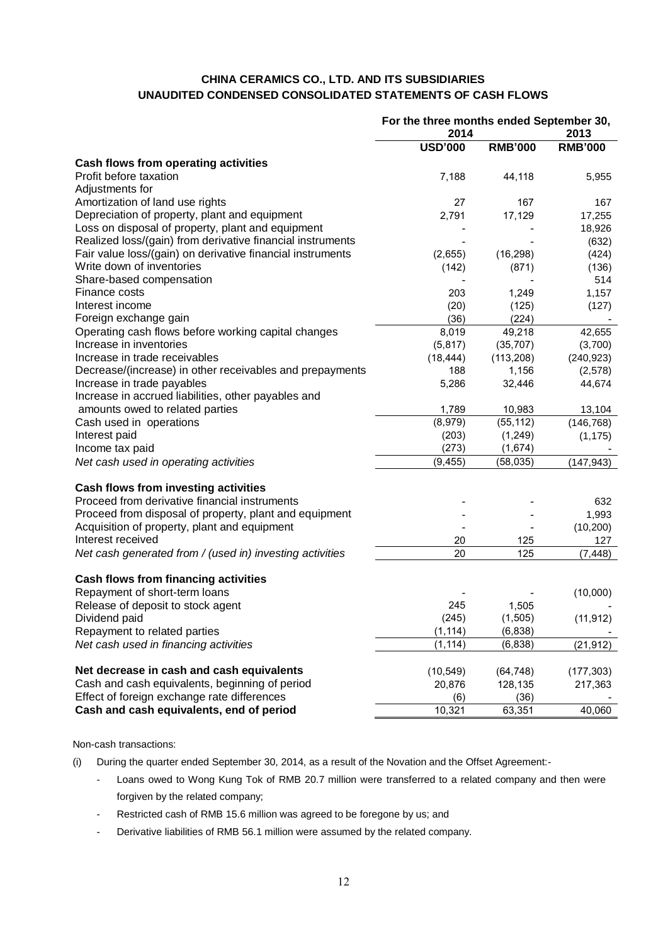# **CHINA CERAMICS CO., LTD. AND ITS SUBSIDIARIES UNAUDITED CONDENSED CONSOLIDATED STATEMENTS OF CASH FLOWS**

|                                                            | For the three months ended September 30, |                |                |
|------------------------------------------------------------|------------------------------------------|----------------|----------------|
|                                                            | 2014                                     |                | 2013           |
|                                                            | <b>USD'000</b>                           | <b>RMB'000</b> | <b>RMB'000</b> |
| Cash flows from operating activities                       |                                          |                |                |
| Profit before taxation                                     | 7,188                                    | 44,118         | 5,955          |
| Adjustments for                                            |                                          |                |                |
| Amortization of land use rights                            | 27                                       | 167            | 167            |
| Depreciation of property, plant and equipment              | 2,791                                    | 17,129         | 17,255         |
| Loss on disposal of property, plant and equipment          |                                          |                | 18,926         |
| Realized loss/(gain) from derivative financial instruments |                                          |                | (632)          |
| Fair value loss/(gain) on derivative financial instruments | (2,655)                                  | (16, 298)      | (424)          |
| Write down of inventories                                  | (142)                                    | (871)          | (136)          |
| Share-based compensation                                   |                                          |                | 514            |
| Finance costs                                              | 203                                      | 1,249          | 1,157          |
| Interest income                                            | (20)                                     | (125)          | (127)          |
| Foreign exchange gain                                      | (36)                                     | (224)          |                |
| Operating cash flows before working capital changes        | 8,019                                    | 49,218         | 42,655         |
| Increase in inventories                                    | (5,817)                                  | (35, 707)      | (3,700)        |
| Increase in trade receivables                              | (18, 444)                                | (113,208)      | (240, 923)     |
| Decrease/(increase) in other receivables and prepayments   | 188                                      | 1,156          | (2,578)        |
| Increase in trade payables                                 | 5,286                                    | 32,446         | 44,674         |
| Increase in accrued liabilities, other payables and        |                                          |                |                |
| amounts owed to related parties                            | 1,789                                    | 10,983         | 13,104         |
| Cash used in operations                                    | (8,979)                                  | (55, 112)      | (146, 768)     |
| Interest paid                                              | (203)                                    | (1, 249)       | (1, 175)       |
| Income tax paid                                            | (273)                                    | (1,674)        |                |
| Net cash used in operating activities                      | (9, 455)                                 | (58, 035)      | (147, 943)     |
|                                                            |                                          |                |                |
| Cash flows from investing activities                       |                                          |                |                |
| Proceed from derivative financial instruments              |                                          |                | 632            |
| Proceed from disposal of property, plant and equipment     |                                          |                | 1,993          |
| Acquisition of property, plant and equipment               |                                          |                | (10, 200)      |
| Interest received                                          | 20                                       | 125            | 127            |
| Net cash generated from / (used in) investing activities   | 20                                       | 125            | (7, 448)       |
|                                                            |                                          |                |                |
| <b>Cash flows from financing activities</b>                |                                          |                |                |
| Repayment of short-term loans                              |                                          |                | (10,000)       |
| Release of deposit to stock agent                          | 245                                      | 1,505          |                |
| Dividend paid                                              | (245)                                    | (1, 505)       | (11, 912)      |
| Repayment to related parties                               | (1, 114)                                 | (6, 838)       |                |
| Net cash used in financing activities                      | (1, 114)                                 | (6, 838)       | (21, 912)      |
|                                                            |                                          |                |                |
| Net decrease in cash and cash equivalents                  | (10, 549)                                | (64, 748)      | (177, 303)     |
| Cash and cash equivalents, beginning of period             | 20,876                                   | 128,135        | 217,363        |
| Effect of foreign exchange rate differences                | (6)                                      | (36)           |                |
| Cash and cash equivalents, end of period                   | 10,321                                   | 63,351         | 40,060         |

Non-cash transactions:

- (i) During the quarter ended September 30, 2014, as a result of the Novation and the Offset Agreement:-
	- Loans owed to Wong Kung Tok of RMB 20.7 million were transferred to a related company and then were forgiven by the related company;
	- Restricted cash of RMB 15.6 million was agreed to be foregone by us; and
	- Derivative liabilities of RMB 56.1 million were assumed by the related company.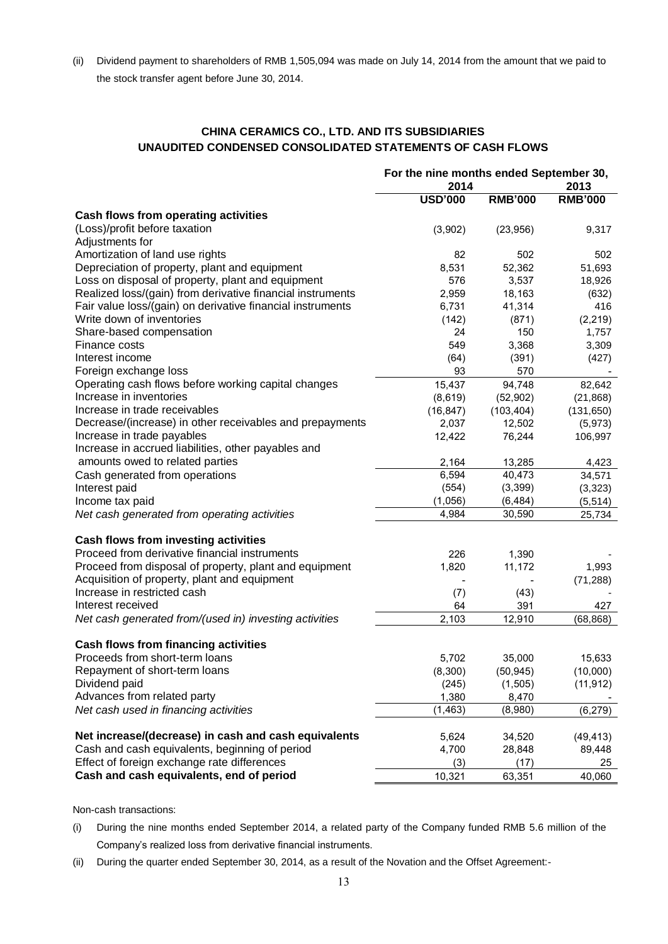(ii) Dividend payment to shareholders of RMB 1,505,094 was made on July 14, 2014 from the amount that we paid to the stock transfer agent before June 30, 2014.

# **CHINA CERAMICS CO., LTD. AND ITS SUBSIDIARIES UNAUDITED CONDENSED CONSOLIDATED STATEMENTS OF CASH FLOWS**

|                                                            | For the nine months ended September 30, |                |                |
|------------------------------------------------------------|-----------------------------------------|----------------|----------------|
|                                                            | 2014                                    |                |                |
|                                                            | <b>USD'000</b>                          | <b>RMB'000</b> | <b>RMB'000</b> |
| <b>Cash flows from operating activities</b>                |                                         |                |                |
| (Loss)/profit before taxation                              | (3,902)                                 | (23,956)       | 9,317          |
| Adjustments for                                            |                                         |                |                |
| Amortization of land use rights                            | 82                                      | 502            | 502            |
| Depreciation of property, plant and equipment              | 8,531                                   | 52,362         | 51,693         |
| Loss on disposal of property, plant and equipment          | 576                                     | 3,537          | 18,926         |
| Realized loss/(gain) from derivative financial instruments | 2,959                                   | 18,163         | (632)          |
| Fair value loss/(gain) on derivative financial instruments | 6,731                                   | 41,314         | 416            |
| Write down of inventories                                  | (142)                                   | (871)          | (2, 219)       |
| Share-based compensation                                   | 24                                      | 150            | 1,757          |
| Finance costs                                              | 549                                     | 3,368          | 3,309          |
| Interest income                                            | (64)                                    | (391)          | (427)          |
| Foreign exchange loss                                      | 93                                      | 570            |                |
| Operating cash flows before working capital changes        | 15,437                                  | 94,748         | 82,642         |
| Increase in inventories                                    | (8,619)                                 | (52, 902)      | (21, 868)      |
| Increase in trade receivables                              | (16, 847)                               | (103, 404)     | (131, 650)     |
| Decrease/(increase) in other receivables and prepayments   | 2,037                                   | 12,502         | (5, 973)       |
| Increase in trade payables                                 | 12,422                                  | 76,244         | 106,997        |
| Increase in accrued liabilities, other payables and        |                                         |                |                |
| amounts owed to related parties                            | 2,164                                   | 13,285         | 4,423          |
| Cash generated from operations                             | 6,594                                   | 40,473         | 34,571         |
| Interest paid                                              | (554)                                   | (3,399)        | (3, 323)       |
| Income tax paid                                            | (1,056)                                 | (6, 484)       | (5, 514)       |
| Net cash generated from operating activities               | 4,984                                   | 30,590         | 25,734         |
|                                                            |                                         |                |                |
| Cash flows from investing activities                       |                                         |                |                |
| Proceed from derivative financial instruments              | 226                                     | 1,390          |                |
| Proceed from disposal of property, plant and equipment     | 1,820                                   | 11,172         | 1,993          |
| Acquisition of property, plant and equipment               |                                         |                | (71, 288)      |
| Increase in restricted cash                                | (7)                                     | (43)           |                |
| Interest received                                          | 64                                      | 391            | 427            |
| Net cash generated from/(used in) investing activities     | 2,103                                   | 12,910         | (68, 868)      |
| <b>Cash flows from financing activities</b>                |                                         |                |                |
| Proceeds from short-term loans                             | 5,702                                   | 35,000         | 15,633         |
| Repayment of short-term loans                              | (8,300)                                 | (50, 945)      | (10,000)       |
| Dividend paid                                              | (245)                                   | (1,505)        | (11, 912)      |
| Advances from related party                                | 1,380                                   | 8,470          |                |
| Net cash used in financing activities                      | (1, 463)                                | (8,980)        | (6, 279)       |
|                                                            |                                         |                |                |
| Net increase/(decrease) in cash and cash equivalents       | 5,624                                   | 34,520         | (49, 413)      |
| Cash and cash equivalents, beginning of period             | 4,700                                   | 28,848         | 89,448         |
| Effect of foreign exchange rate differences                | (3)                                     | (17)           | 25             |
| Cash and cash equivalents, end of period                   | 10,321                                  | 63,351         | 40,060         |

Non-cash transactions:

- (i) During the nine months ended September 2014, a related party of the Company funded RMB 5.6 million of the Company's realized loss from derivative financial instruments.
- (ii) During the quarter ended September 30, 2014, as a result of the Novation and the Offset Agreement:-